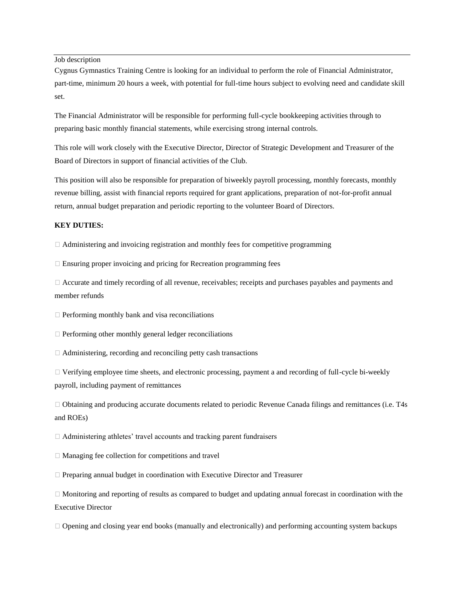Job description

Cygnus Gymnastics Training Centre is looking for an individual to perform the role of Financial Administrator, part-time, minimum 20 hours a week, with potential for full-time hours subject to evolving need and candidate skill set.

The Financial Administrator will be responsible for performing full-cycle bookkeeping activities through to preparing basic monthly financial statements, while exercising strong internal controls.

This role will work closely with the Executive Director, Director of Strategic Development and Treasurer of the Board of Directors in support of financial activities of the Club.

This position will also be responsible for preparation of biweekly payroll processing, monthly forecasts, monthly revenue billing, assist with financial reports required for grant applications, preparation of not-for-profit annual return, annual budget preparation and periodic reporting to the volunteer Board of Directors.

## **KEY DUTIES:**

 $\Box$  Administering and invoicing registration and monthly fees for competitive programming

 $\Box$  Ensuring proper invoicing and pricing for Recreation programming fees

□ Accurate and timely recording of all revenue, receivables; receipts and purchases payables and payments and member refunds

 $\Box$  Performing monthly bank and visa reconciliations

 $\Box$  Performing other monthly general ledger reconciliations

 $\Box$  Administering, recording and reconciling petty cash transactions

⮚ Verifying employee time sheets, and electronic processing, payment a and recording of full-cycle bi-weekly payroll, including payment of remittances

⮚ Obtaining and producing accurate documents related to periodic Revenue Canada filings and remittances (i.e. T4s and ROEs)

⮚ Administering athletes' travel accounts and tracking parent fundraisers

 $\Box$  Managing fee collection for competitions and travel

⮚ Preparing annual budget in coordination with Executive Director and Treasurer

⮚ Monitoring and reporting of results as compared to budget and updating annual forecast in coordination with the Executive Director

⮚ Opening and closing year end books (manually and electronically) and performing accounting system backups